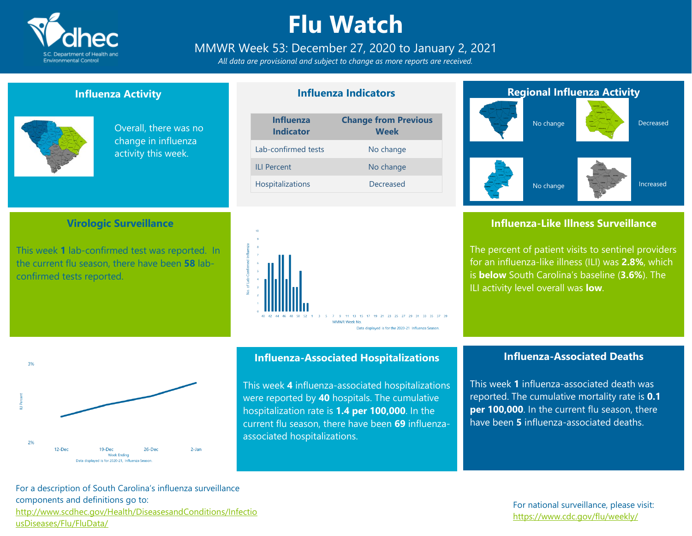

# **Flu Watch**

MMWR Week 53: December 27, 2020 to January 2, 2021

*All data are provisional and subject to change as more reports are received.*

### **Influenza Activity**

**Virologic Surveillance**

This week **1** lab-confirmed test was reported. In the current flu season, there have been **58** lab-



confirmed tests reported.

Overall, there was no change in influenza activity this week.

### **Influenza Indicators**

| <b>Influenza</b><br><b>Indicator</b> | <b>Change from Previous</b><br><b>Week</b> |
|--------------------------------------|--------------------------------------------|
| Lab-confirmed tests                  | No change                                  |
| <b>ILI Percent</b>                   | No change                                  |
| <b>Hospitalizations</b>              | Decreased                                  |





### **Influenza-Like Illness Surveillance**

The percent of patient visits to sentinel providers for an influenza-like illness (ILI) was **2.8%**, which is **below** South Carolina's baseline (**3.6%**). The ILI activity level overall was **low**.



#### **Influenza-Associated Hospitalizations**

This week **4** influenza-associated hospitalizations were reported by **40** hospitals. The cumulative hospitalization rate is **1.4 per 100,000**. In the current flu season, there have been **69** influenzaassociated hospitalizations.

#### **Influenza-Associated Deaths**

This week **1** influenza-associated death was reported. The cumulative mortality rate is **0.1 per 100,000**. In the current flu season, there have been **5** influenza-associated deaths.

For a description of South Carolina's influenza surveillance components and definitions go to: [http://www.scdhec.gov/Health/DiseasesandConditions/Infectio](http://www.scdhec.gov/Health/DiseasesandConditions/InfectiousDiseases/Flu/FluData/) [usDiseases/Flu/FluData/](http://www.scdhec.gov/Health/DiseasesandConditions/InfectiousDiseases/Flu/FluData/)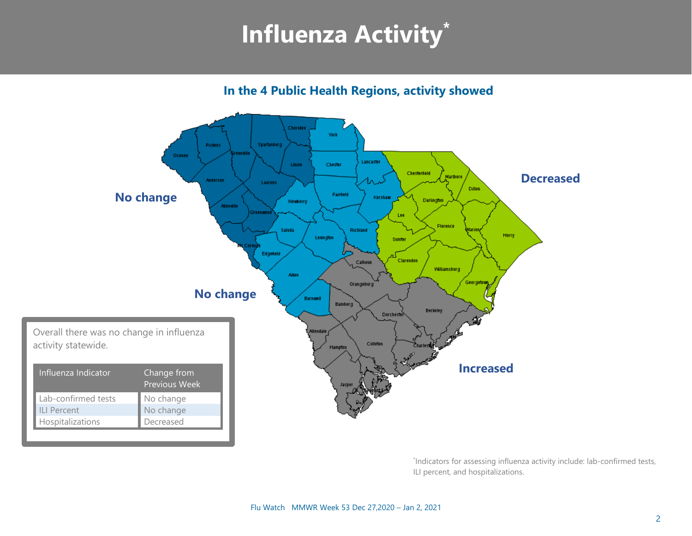# **Influenza Activity\***

**In the 4 Public Health Regions, activity showed**



\* Indicators for assessing influenza activity include: lab-confirmed tests, ILI percent, and hospitalizations.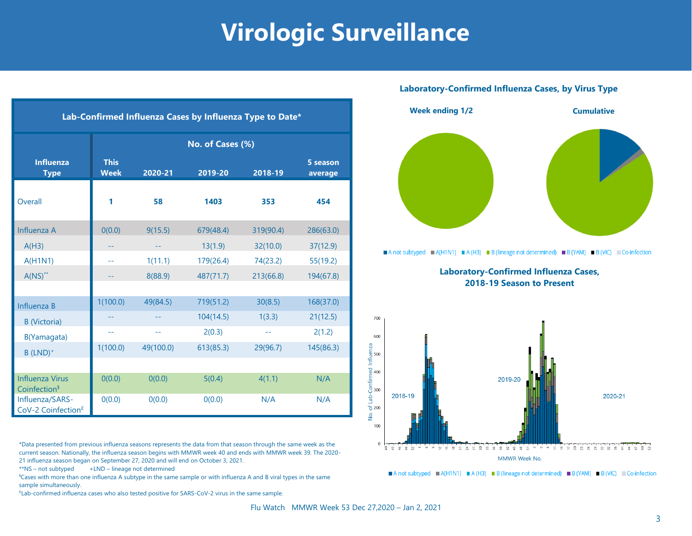# **Virologic Surveillance**

| Lab-Confirmed Influenza Cases by Influenza Type to Date* |                             |           |           |           |                     |  |
|----------------------------------------------------------|-----------------------------|-----------|-----------|-----------|---------------------|--|
|                                                          | No. of Cases (%)            |           |           |           |                     |  |
| <b>Influenza</b><br><b>Type</b>                          | <b>This</b><br><b>Week</b>  | 2020-21   | 2019-20   | 2018-19   | 5 season<br>average |  |
| Overall                                                  | 1                           | 58        | 1403      | 353       | 454                 |  |
| Influenza A                                              | 0(0.0)                      | 9(15.5)   | 679(48.4) | 319(90.4) | 286(63.0)           |  |
| A(H3)                                                    |                             |           | 13(1.9)   | 32(10.0)  | 37(12.9)            |  |
| A(H1N1)                                                  | $\rightarrow$ $\rightarrow$ | 1(11.1)   | 179(26.4) | 74(23.2)  | 55(19.2)            |  |
| $A(NS)^{**}$                                             |                             | 8(88.9)   | 487(71.7) | 213(66.8) | 194(67.8)           |  |
|                                                          |                             |           |           |           |                     |  |
| Influenza B                                              | 1(100.0)                    | 49(84.5)  | 719(51.2) | 30(8.5)   | 168(37.0)           |  |
| <b>B</b> (Victoria)                                      |                             |           | 104(14.5) | 1(3.3)    | 21(12.5)            |  |
| B(Yamagata)                                              | $-$                         | $-1$      | 2(0.3)    | $-1$      | 2(1.2)              |  |
| $B$ (LND) <sup>+</sup>                                   | 1(100.0)                    | 49(100.0) | 613(85.3) | 29(96.7)  | 145(86.3)           |  |
|                                                          |                             |           |           |           |                     |  |
| <b>Influenza Virus</b><br>Coinfection <sup>§</sup>       | O(0.0)                      | 0(0.0)    | 5(0.4)    | 4(1.1)    | N/A                 |  |
| Influenza/SARS-<br>CoV-2 Coinfection <sup>£</sup>        | 0(0.0)                      | O(0.0)    | 0(0.0)    | N/A       | N/A                 |  |

\*Data presented from previous influenza seasons represents the data from that season through the same week as the current season. Nationally, the influenza season begins with MMWR week 40 and ends with MMWR week 39. The 2020- 21 influenza season began on September 27, 2020 and will end on October 3, 2021.

\*\*NS – not subtyped +LND – lineage not determined

§Cases with more than one influenza A subtype in the same sample or with influenza A and B viral types in the same sample simultaneously.

£ Lab-confirmed influenza cases who also tested positive for SARS-CoV-2 virus in the same sample.

#### **Laboratory-Confirmed Influenza Cases, by Virus Type**



A not subtyped A (H1N1) A (H3) B (lineage not determined) B (YAM) B (VIC) Co-infection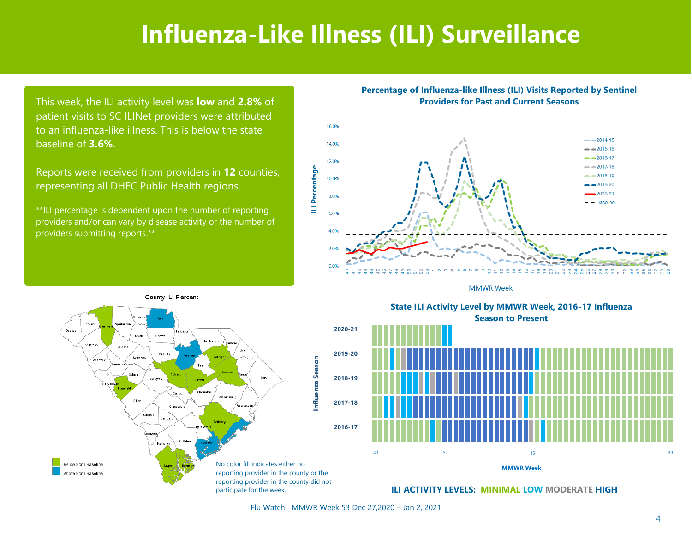## **Influenza-Like Illness (ILI) Surveillance**

This week, the ILI activity level was **low** and **2.8%** of patient visits to SC ILINet providers were attributed to an influenza-like illness. This is below the state baseline of **3.6%**.

Reports were received from providers in **12** counties, representing all DHEC Public Health regions.

\*\*ILI percentage is dependent upon the number of reporting providers and/or can vary by disease activity or the number of providers submitting reports.\*\*

#### **Percentage of Influenza-like Illness (ILI) Visits Reported by Sentinel Providers for Past and Current Seasons**



**MMWR Week** 



State ILI Activity Level by MMWR Week, 2016-17 Influenza **Season to Present** Season to Present **State ILI Activity Level by MMWR Week, 2016-17 Influenza**



**ILI ACTIVITY LEVELS: MINIMAL LOW MODERATE HIGH**

Flu Watch MMWR Week 53 Dec 27,2020 – Jan 2, 2021